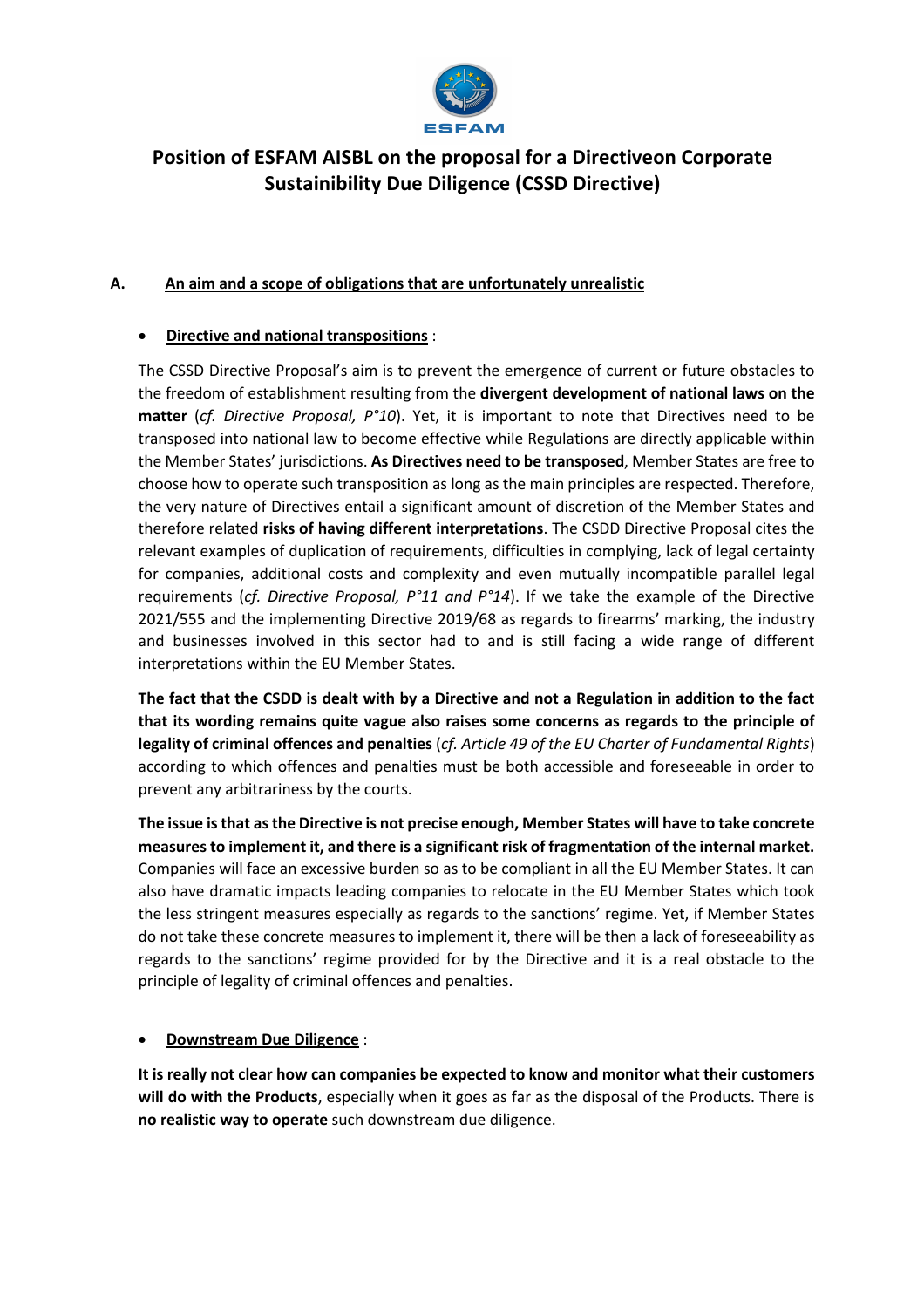

# **Position of ESFAM AISBL on the proposal for a Directiveon Corporate Sustainibility Due Diligence (CSSD Directive)**

# **A. An aim and a scope of obligations that are unfortunately unrealistic**

#### • **Directive and national transpositions** :

The CSSD Directive Proposal's aim is to prevent the emergence of current or future obstacles to the freedom of establishment resulting from the **divergent development of national laws on the matter** (*cf. Directive Proposal, P°10*). Yet, it is important to note that Directives need to be transposed into national law to become effective while Regulations are directly applicable within the Member States' jurisdictions. **As Directives need to be transposed**, Member States are free to choose how to operate such transposition as long as the main principles are respected. Therefore, the very nature of Directives entail a significant amount of discretion of the Member States and therefore related **risks of having different interpretations**. The CSDD Directive Proposal cites the relevant examples of duplication of requirements, difficulties in complying, lack of legal certainty for companies, additional costs and complexity and even mutually incompatible parallel legal requirements (*cf. Directive Proposal, P°11 and P°14*). If we take the example of the Directive 2021/555 and the implementing Directive 2019/68 as regards to firearms' marking, the industry and businesses involved in this sector had to and is still facing a wide range of different interpretations within the EU Member States.

**The fact that the CSDD is dealt with by a Directive and not a Regulation in addition to the fact that its wording remains quite vague also raises some concerns as regards to the principle of legality of criminal offences and penalties** (*cf. Article 49 of the EU Charter of Fundamental Rights*) according to which offences and penalties must be both accessible and foreseeable in order to prevent any arbitrariness by the courts.

**The issue is that as the Directive is not precise enough, Member States will have to take concrete measures to implement it, and there is a significant risk of fragmentation of the internal market.** Companies will face an excessive burden so as to be compliant in all the EU Member States. It can also have dramatic impacts leading companies to relocate in the EU Member States which took the less stringent measures especially as regards to the sanctions' regime. Yet, if Member States do not take these concrete measures to implement it, there will be then a lack of foreseeability as regards to the sanctions' regime provided for by the Directive and it is a real obstacle to the principle of legality of criminal offences and penalties.

#### • **Downstream Due Diligence** :

**It is really not clear how can companies be expected to know and monitor what their customers will do with the Products**, especially when it goes as far as the disposal of the Products. There is **no realistic way to operate** such downstream due diligence.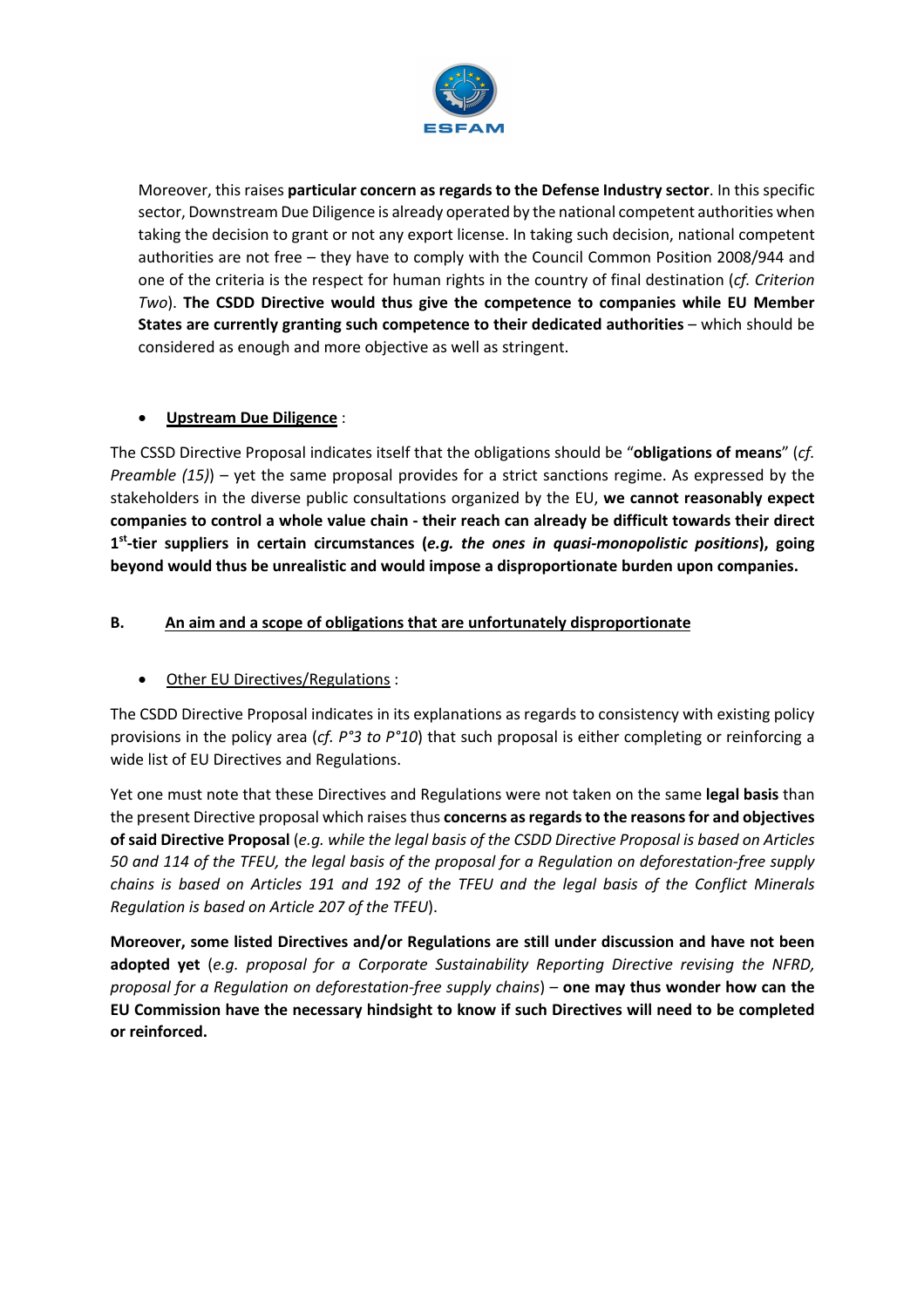

Moreover, this raises **particular concern as regards to the Defense Industry sector**. In this specific sector, Downstream Due Diligence is already operated by the national competent authorities when taking the decision to grant or not any export license. In taking such decision, national competent authorities are not free – they have to comply with the Council Common Position 2008/944 and one of the criteria is the respect for human rights in the country of final destination (*cf. Criterion Two*). **The CSDD Directive would thus give the competence to companies while EU Member States are currently granting such competence to their dedicated authorities** – which should be considered as enough and more objective as well as stringent.

# • **Upstream Due Diligence** :

The CSSD Directive Proposal indicates itself that the obligations should be "**obligations of means**" (*cf. Preamble (15)*) – yet the same proposal provides for a strict sanctions regime. As expressed by the stakeholders in the diverse public consultations organized by the EU, **we cannot reasonably expect companies to control a whole value chain - their reach can already be difficult towards their direct 1st-tier suppliers in certain circumstances (***e.g. the ones in quasi-monopolistic positions***), going beyond would thus be unrealistic and would impose a disproportionate burden upon companies.**

# **B. An aim and a scope of obligations that are unfortunately disproportionate**

#### • Other EU Directives/Regulations :

The CSDD Directive Proposal indicates in its explanations as regards to consistency with existing policy provisions in the policy area (*cf. P°3 to P°10*) that such proposal is either completing or reinforcing a wide list of EU Directives and Regulations.

Yet one must note that these Directives and Regulations were not taken on the same **legal basis** than the present Directive proposal which raises thus **concerns as regards to the reasons for and objectives of said Directive Proposal** (*e.g. while the legal basis of the CSDD Directive Proposal is based on Articles 50 and 114 of the TFEU, the legal basis of the proposal for a Regulation on deforestation-free supply chains is based on Articles 191 and 192 of the TFEU and the legal basis of the Conflict Minerals Regulation is based on Article 207 of the TFEU*).

**Moreover, some listed Directives and/or Regulations are still under discussion and have not been adopted yet** (*e.g. proposal for a Corporate Sustainability Reporting Directive revising the NFRD, proposal for a Regulation on deforestation-free supply chains*) – **one may thus wonder how can the EU Commission have the necessary hindsight to know if such Directives will need to be completed or reinforced.**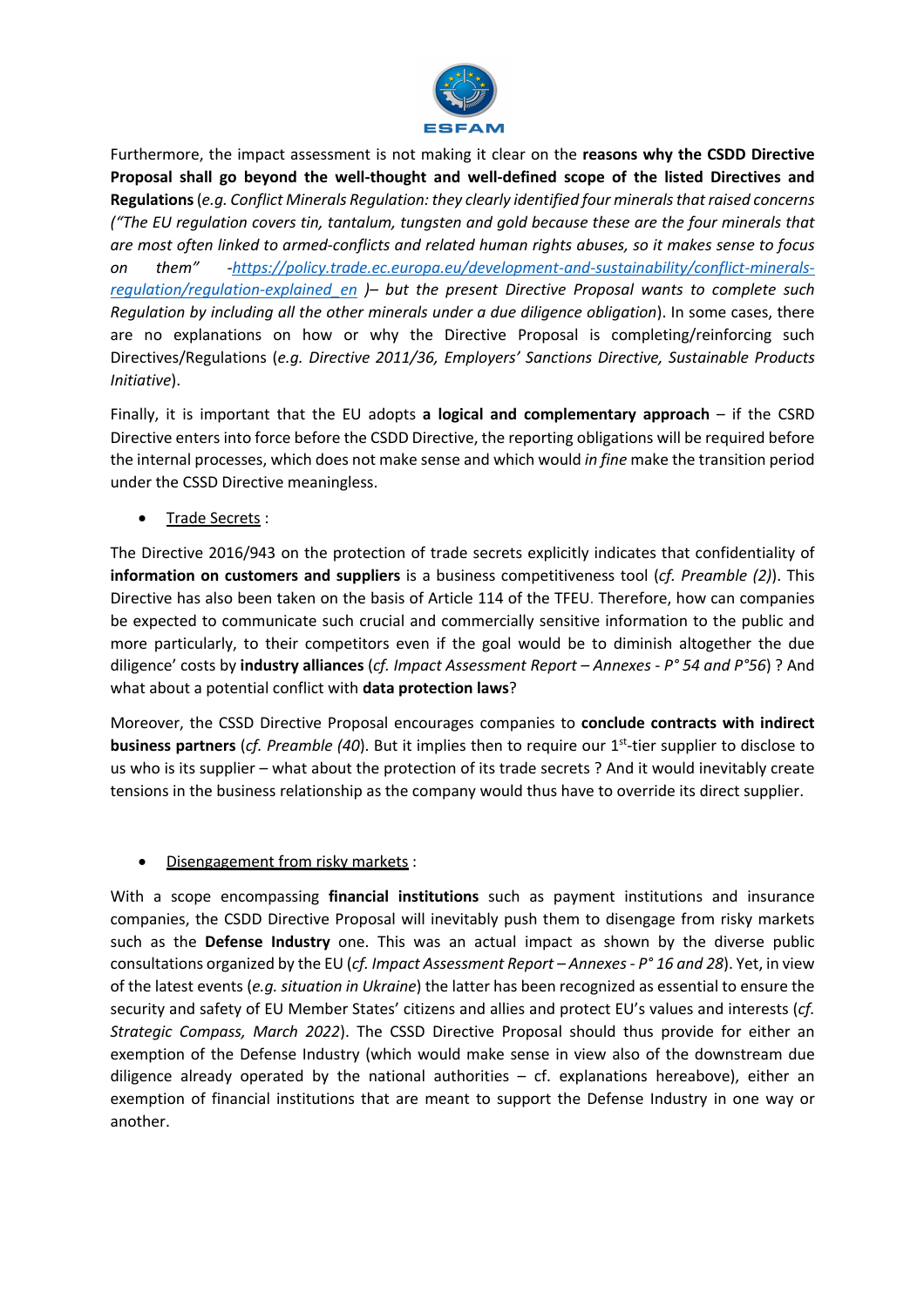

Furthermore, the impact assessment is not making it clear on the **reasons why the CSDD Directive Proposal shall go beyond the well-thought and well-defined scope of the listed Directives and Regulations**(*e.g. Conflict Minerals Regulation: they clearly identified four minerals that raised concerns ("The EU regulation covers tin, tantalum, tungsten and gold because these are the four minerals that are most often linked to armed-conflicts and related human rights abuses, so it makes sense to focus on them" -https://policy.trade.ec.europa.eu/development-and-sustainability/conflict-mineralsregulation/regulation-explained\_en )– but the present Directive Proposal wants to complete such Regulation by including all the other minerals under a due diligence obligation*). In some cases, there are no explanations on how or why the Directive Proposal is completing/reinforcing such Directives/Regulations (*e.g. Directive 2011/36, Employers' Sanctions Directive, Sustainable Products Initiative*).

Finally, it is important that the EU adopts **a logical and complementary approach** – if the CSRD Directive enters into force before the CSDD Directive, the reporting obligations will be required before the internal processes, which does not make sense and which would *in fine* make the transition period under the CSSD Directive meaningless.

• Trade Secrets :

The Directive 2016/943 on the protection of trade secrets explicitly indicates that confidentiality of **information on customers and suppliers** is a business competitiveness tool (*cf. Preamble (2)*). This Directive has also been taken on the basis of Article 114 of the TFEU. Therefore, how can companies be expected to communicate such crucial and commercially sensitive information to the public and more particularly, to their competitors even if the goal would be to diminish altogether the due diligence' costs by **industry alliances** (*cf. Impact Assessment Report – Annexes - P° 54 and P°56*) ? And what about a potential conflict with **data protection laws**?

Moreover, the CSSD Directive Proposal encourages companies to **conclude contracts with indirect business partners** (*cf. Preamble (40*). But it implies then to require our 1<sup>st</sup>-tier supplier to disclose to us who is its supplier – what about the protection of its trade secrets ? And it would inevitably create tensions in the business relationship as the company would thus have to override its direct supplier.

#### • Disengagement from risky markets :

With a scope encompassing **financial institutions** such as payment institutions and insurance companies, the CSDD Directive Proposal will inevitably push them to disengage from risky markets such as the **Defense Industry** one. This was an actual impact as shown by the diverse public consultations organized by the EU (*cf. Impact Assessment Report – Annexes - P° 16 and 28*). Yet, in view of the latest events (*e.g. situation in Ukraine*) the latter has been recognized as essential to ensure the security and safety of EU Member States' citizens and allies and protect EU's values and interests (*cf. Strategic Compass, March 2022*). The CSSD Directive Proposal should thus provide for either an exemption of the Defense Industry (which would make sense in view also of the downstream due diligence already operated by the national authorities  $-$  cf. explanations hereabove), either an exemption of financial institutions that are meant to support the Defense Industry in one way or another.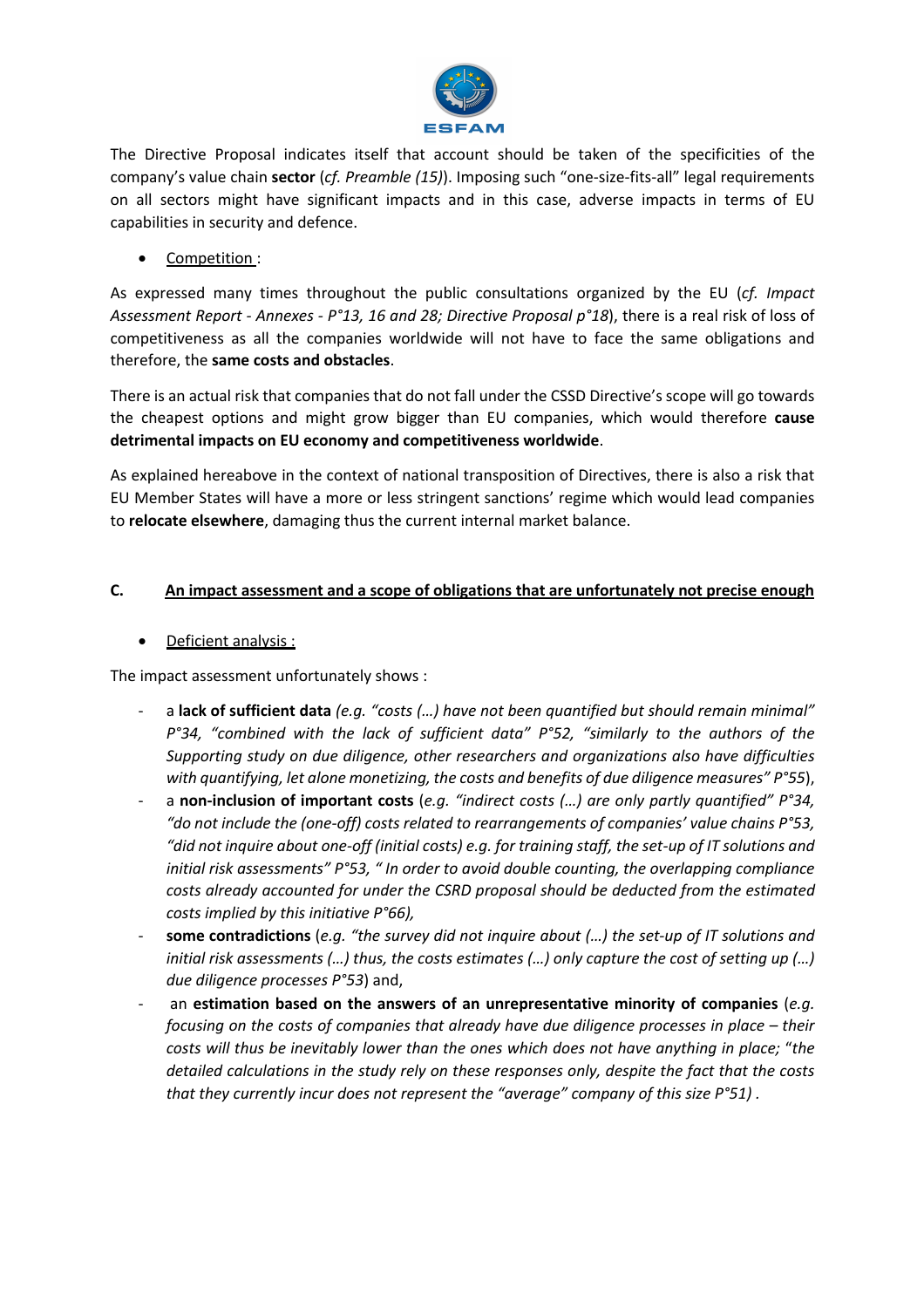

The Directive Proposal indicates itself that account should be taken of the specificities of the company's value chain **sector** (*cf. Preamble (15)*). Imposing such "one-size-fits-all" legal requirements on all sectors might have significant impacts and in this case, adverse impacts in terms of EU capabilities in security and defence.

• Competition :

As expressed many times throughout the public consultations organized by the EU (*cf. Impact Assessment Report - Annexes - P°13, 16 and 28; Directive Proposal p°18*), there is a real risk of loss of competitiveness as all the companies worldwide will not have to face the same obligations and therefore, the **same costs and obstacles**.

There is an actual risk that companies that do not fall under the CSSD Directive's scope will go towards the cheapest options and might grow bigger than EU companies, which would therefore **cause detrimental impacts on EU economy and competitiveness worldwide**.

As explained hereabove in the context of national transposition of Directives, there is also a risk that EU Member States will have a more or less stringent sanctions' regime which would lead companies to **relocate elsewhere**, damaging thus the current internal market balance.

# **C. An impact assessment and a scope of obligations that are unfortunately not precise enough**

• Deficient analysis :

The impact assessment unfortunately shows :

- a **lack of sufficient data** *(e.g. "costs (…) have not been quantified but should remain minimal" P°34, "combined with the lack of sufficient data" P°52, "similarly to the authors of the Supporting study on due diligence, other researchers and organizations also have difficulties with quantifying, let alone monetizing, the costs and benefits of due diligence measures" P°55*),
- a **non-inclusion of important costs** (*e.g. "indirect costs* (...) are only partly quantified" P°34, *"do not include the (one-off) costs related to rearrangements of companies' value chains P°53, "did not inquire about one-off (initial costs) e.g. for training staff, the set-up of IT solutions and initial risk assessments" P°53, " In order to avoid double counting, the overlapping compliance costs already accounted for under the CSRD proposal should be deducted from the estimated costs implied by this initiative P°66),*
- **some contradictions** (*e.g. "the survey did not inquire about (…) the set-up of IT solutions and initial risk assessments (…) thus, the costs estimates (…) only capture the cost of setting up (…) due diligence processes P°53*) and,
- an **estimation based on the answers of an unrepresentative minority of companies** (*e.g. focusing on the costs of companies that already have due diligence processes in place – their costs will thus be inevitably lower than the ones which does not have anything in place;* "*the detailed calculations in the study rely on these responses only, despite the fact that the costs that they currently incur does not represent the "average" company of this size P°51) .*